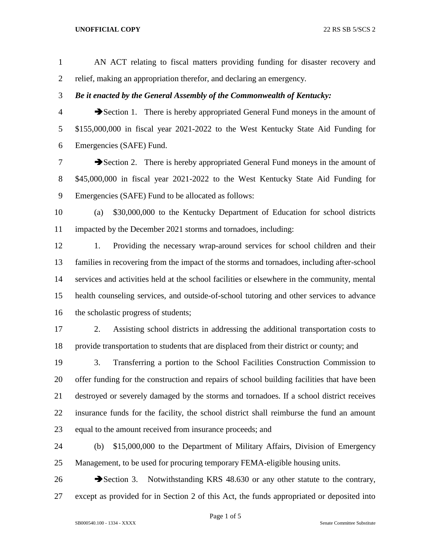## **UNOFFICIAL COPY** 22 RS SB 5/SCS 2

 AN ACT relating to fiscal matters providing funding for disaster recovery and relief, making an appropriation therefor, and declaring an emergency. *Be it enacted by the General Assembly of the Commonwealth of Kentucky:* Section 1. There is hereby appropriated General Fund moneys in the amount of \$155,000,000 in fiscal year 2021-2022 to the West Kentucky State Aid Funding for Emergencies (SAFE) Fund. **Exercise 2.** There is hereby appropriated General Fund moneys in the amount of \$45,000,000 in fiscal year 2021-2022 to the West Kentucky State Aid Funding for Emergencies (SAFE) Fund to be allocated as follows: (a) \$30,000,000 to the Kentucky Department of Education for school districts impacted by the December 2021 storms and tornadoes, including: 1. Providing the necessary wrap-around services for school children and their families in recovering from the impact of the storms and tornadoes, including after-school services and activities held at the school facilities or elsewhere in the community, mental health counseling services, and outside-of-school tutoring and other services to advance 16 the scholastic progress of students; 2. Assisting school districts in addressing the additional transportation costs to provide transportation to students that are displaced from their district or county; and 3. Transferring a portion to the School Facilities Construction Commission to offer funding for the construction and repairs of school building facilities that have been destroyed or severely damaged by the storms and tornadoes. If a school district receives insurance funds for the facility, the school district shall reimburse the fund an amount equal to the amount received from insurance proceeds; and (b) \$15,000,000 to the Department of Military Affairs, Division of Emergency Management, to be used for procuring temporary FEMA-eligible housing units.

26 Section 3. Notwithstanding KRS 48.630 or any other statute to the contrary, except as provided for in Section 2 of this Act, the funds appropriated or deposited into

Page 1 of 5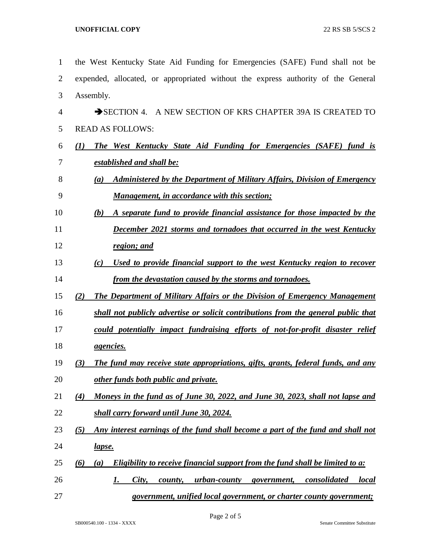| $\mathbf{1}$   | the West Kentucky State Aid Funding for Emergencies (SAFE) Fund shall not be                        |
|----------------|-----------------------------------------------------------------------------------------------------|
| $\overline{2}$ | expended, allocated, or appropriated without the express authority of the General                   |
| 3              | Assembly.                                                                                           |
| $\overline{4}$ | SECTION 4. A NEW SECTION OF KRS CHAPTER 39A IS CREATED TO                                           |
| 5              | <b>READ AS FOLLOWS:</b>                                                                             |
| 6              | <b>The West Kentucky State Aid Funding for Emergencies (SAFE) fund is</b><br>(1)                    |
| 7              | established and shall be:                                                                           |
| 8              | <b>Administered by the Department of Military Affairs, Division of Emergency</b><br>(a)             |
| 9              | <b>Management, in accordance with this section;</b>                                                 |
| 10             | A separate fund to provide financial assistance for those impacted by the<br>(b)                    |
| 11             | <b>December 2021 storms and tornadoes that occurred in the west Kentucky</b>                        |
| 12             | region; and                                                                                         |
| 13             | Used to provide financial support to the west Kentucky region to recover<br>(c)                     |
| 14             | from the devastation caused by the storms and tornadoes.                                            |
| 15             | <b>The Department of Military Affairs or the Division of Emergency Management</b><br>(2)            |
| 16             | shall not publicly advertise or solicit contributions from the general public that                  |
| 17             | could potentially impact fundraising efforts of not-for-profit disaster relief                      |
| 18             | <i><u>agencies.</u></i>                                                                             |
| 19             | The fund may receive state appropriations, gifts, grants, federal funds, and any<br>(3)             |
| 20             | other funds both public and private.                                                                |
| 21             | Moneys in the fund as of June 30, 2022, and June 30, 2023, shall not lapse and<br>$\left( 4\right)$ |
| 22             | shall carry forward until June 30, 2024.                                                            |
| 23             | Any interest earnings of the fund shall become a part of the fund and shall not<br>(5)              |
| 24             | <u>lapse.</u>                                                                                       |
| 25             | Eligibility to receive financial support from the fund shall be limited to a:<br>(6)<br>(a)         |
| 26             | City,<br><u>urban-county government, consolidated</u><br><i>local</i><br>county,<br>1.              |
| 27             | government, unified local government, or charter county government;                                 |

Page 2 of 5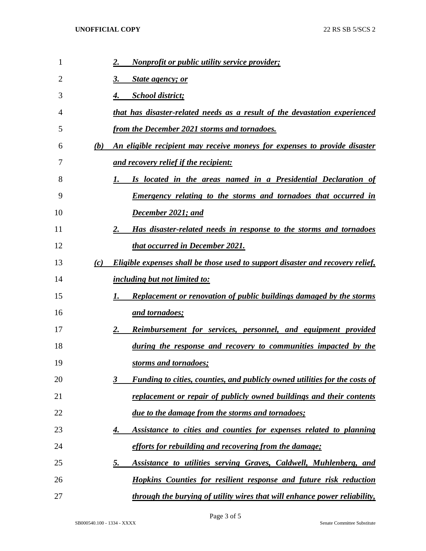| 1  |     | <b>Nonprofit or public utility service provider;</b><br>2.                            |
|----|-----|---------------------------------------------------------------------------------------|
| 2  |     | 3.<br><b>State agency; or</b>                                                         |
| 3  |     | <b>School district;</b><br>4.                                                         |
| 4  |     | that has disaster-related needs as a result of the devastation experienced            |
| 5  |     | from the December 2021 storms and tornadoes.                                          |
| 6  | (b) | An eligible recipient may receive moneys for expenses to provide disaster             |
| 7  |     | and recovery relief if the recipient:                                                 |
| 8  |     | Is located in the areas named in a Presidential Declaration of<br>1.                  |
| 9  |     | <b>Emergency relating to the storms and tornadoes that occurred in</b>                |
| 10 |     | December 2021; and                                                                    |
| 11 |     | Has disaster-related needs in response to the storms and tornadoes<br>2.              |
| 12 |     | that occurred in December 2021.                                                       |
| 13 | (c) | <b>Eligible expenses shall be those used to support disaster and recovery relief,</b> |
| 14 |     | including but not limited to:                                                         |
| 15 |     | <b>Replacement or renovation of public buildings damaged by the storms</b><br>1.      |
| 16 |     | <u>and tornadoes;</u>                                                                 |
| 17 |     | <b>Reimbursement for services, personnel, and equipment provided</b><br>2.            |
| 18 |     | during the response and recovery to communities impacted by the                       |
| 19 |     | storms and tornadoes;                                                                 |
| 20 |     | Funding to cities, counties, and publicly owned utilities for the costs of<br>3       |
| 21 |     | replacement or repair of publicly owned buildings and their contents                  |
| 22 |     | due to the damage from the storms and tornadoes;                                      |
| 23 |     | Assistance to cities and counties for expenses related to planning<br>4.              |
| 24 |     | efforts for rebuilding and recovering from the damage;                                |
| 25 |     | Assistance to utilities serving Graves, Caldwell, Muhlenberg, and<br><u>5.</u>        |
| 26 |     | <b>Hopkins Counties for resilient response and future risk reduction</b>              |
| 27 |     | through the burying of utility wires that will enhance power reliability,             |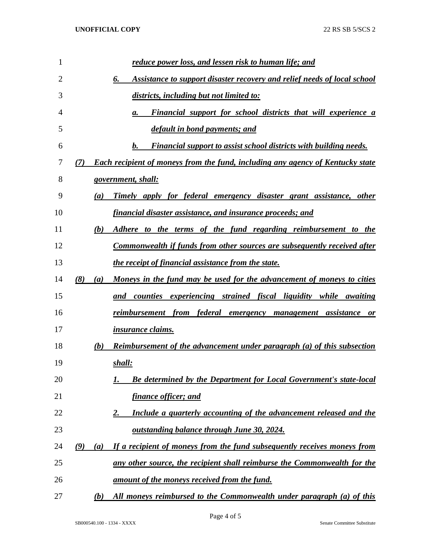| 1  | reduce power loss, and lessen risk to human life; and                                        |
|----|----------------------------------------------------------------------------------------------|
| 2  | Assistance to support disaster recovery and relief needs of local school<br>6.               |
| 3  | districts, including but not limited to:                                                     |
| 4  | Financial support for school districts that will experience a<br>а.                          |
| 5  | default in bond payments; and                                                                |
| 6  | Financial support to assist school districts with building needs.<br>b.                      |
| 7  | <b>Each recipient of moneys from the fund, including any agency of Kentucky state</b><br>(7) |
| 8  | government, shall:                                                                           |
| 9  | <u>Timely apply for federal emergency disaster grant assistance, other</u><br>(a)            |
| 10 | <u>financial disaster assistance, and insurance proceeds; and</u>                            |
| 11 | Adhere to the terms of the fund regarding reimbursement to the<br>(b)                        |
| 12 | Commonwealth if funds from other sources are subsequently received after                     |
| 13 | <i>the receipt of financial assistance from the state.</i>                                   |
| 14 | (8)<br><u>Moneys in the fund may be used for the advancement of moneys to cities</u><br>(a)  |
| 15 | and counties experiencing strained fiscal liquidity while awaiting                           |
| 16 | reimbursement from federal emergency management assistance<br><b>or</b>                      |
| 17 | <i>insurance claims.</i>                                                                     |
| 18 | Reimbursement of the advancement under paragraph (a) of this subsection<br>(b)               |
| 19 | shall:                                                                                       |
| 20 | <b>Be determined by the Department for Local Government's state-local</b>                    |
| 21 | <u>finance officer; and</u>                                                                  |
| 22 | Include a quarterly accounting of the advancement released and the<br><u>2.</u>              |
| 23 | <u>outstanding balance through June 30, 2024.</u>                                            |
| 24 | If a recipient of moneys from the fund subsequently receives moneys from<br>(9)<br>(a)       |
| 25 | any other source, the recipient shall reimburse the Commonwealth for the                     |
| 26 | <u>amount of the moneys received from the fund.</u>                                          |
| 27 | All moneys reimbursed to the Commonwealth under paragraph (a) of this<br>(b)                 |